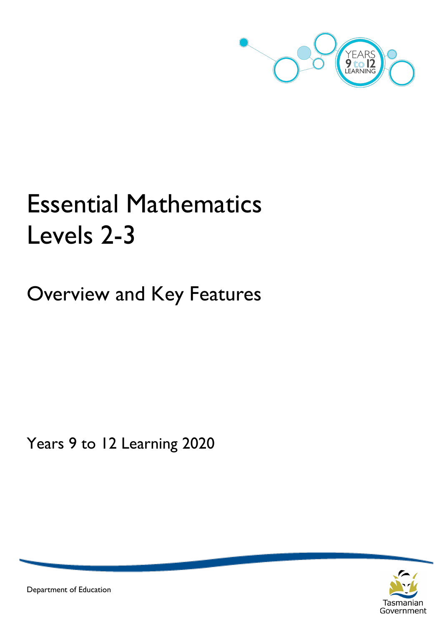

# Essential Mathematics Levels 2-3

Overview and Key Features

Years 9 to 12 Learning 2020



Department of Education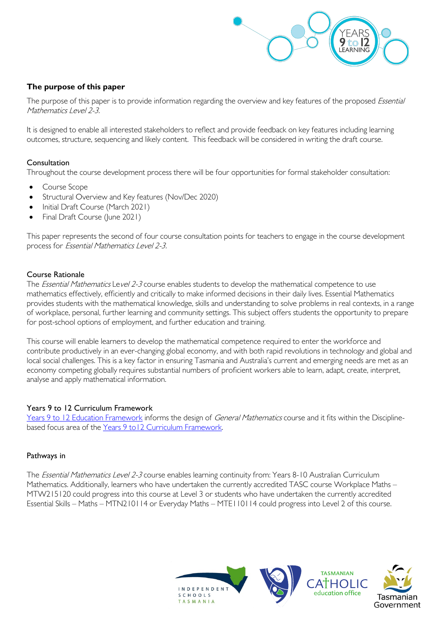

# **The purpose of this paper**

The purpose of this paper is to provide information regarding the overview and key features of the proposed Essential Mathematics Level 2-3.

It is designed to enable all interested stakeholders to reflect and provide feedback on key features including learning outcomes, structure, sequencing and likely content. This feedback will be considered in writing the draft course.

#### Consultation

Throughout the course development process there will be four opportunities for formal stakeholder consultation:

- Course Scope
- Structural Overview and Key features (Nov/Dec 2020)
- Initial Draft Course (March 2021)
- Final Draft Course (June 2021)

This paper represents the second of four course consultation points for teachers to engage in the course development process for Essential Mathematics Level 2-3.

#### Course Rationale

The *Essential Mathematics* Level 2-3 course enables students to develop the mathematical competence to use mathematics effectively, efficiently and critically to make informed decisions in their daily lives. Essential Mathematics provides students with the mathematical knowledge, skills and understanding to solve problems in real contexts, in a range of workplace, personal, further learning and community settings. This subject offers students the opportunity to prepare for post-school options of employment, and further education and training.

This course will enable learners to develop the mathematical competence required to enter the workforce and contribute productively in an ever-changing global economy, and with both rapid revolutions in technology and global and local social challenges. This is a key factor in ensuring Tasmania and Australia's current and emerging needs are met as an economy competing globally requires substantial numbers of proficient workers able to learn, adapt, create, interpret, analyse and apply mathematical information.

#### Years 9 to 12 Curriculum Framework

[Years 9 to 12 Education Framework](https://publicdocumentcentre.education.tas.gov.au/library/Shared%20Documents/Years-9-to-12-Education-Framework.pdf) informs the design of General Mathematics course and it fits within the Disciplinebased focus area of the [Years 9 to12 Curriculum Framework.](https://publicdocumentcentre.education.tas.gov.au/library/Shared%20Documents/Education%209-12%20Frameworks%20A3%20WEB%20POSTER.pdf) 

#### Pathways in

The Essential Mathematics Level 2-3 course enables learning continuity from: Years 8-10 Australian Curriculum Mathematics. Additionally, learners who have undertaken the currently accredited TASC course Workplace Maths – MTW215120 could progress into this course at Level 3 or students who have undertaken the currently accredited Essential Skills – Maths – MTN210114 or Everyday Maths – MTE110114 could progress into Level 2 of this course.

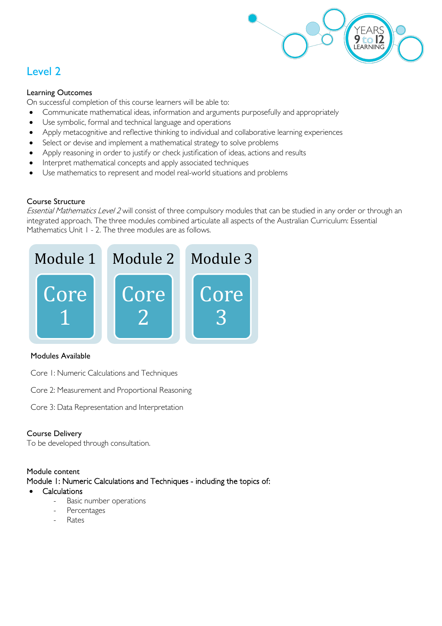

# Level 2

### Learning Outcomes

On successful completion of this course learners will be able to:

- Communicate mathematical ideas, information and arguments purposefully and appropriately
- Use symbolic, formal and technical language and operations
- Apply metacognitive and reflective thinking to individual and collaborative learning experiences
- Select or devise and implement a mathematical strategy to solve problems
- Apply reasoning in order to justify or check justification of ideas, actions and results
- Interpret mathematical concepts and apply associated techniques
- Use mathematics to represent and model real-world situations and problems

# Course Structure

Essential Mathematics Level 2 will consist of three compulsory modules that can be studied in any order or through an integrated approach. The three modules combined articulate all aspects of the Australian Curriculum: Essential Mathematics Unit 1 - 2. The three modules are as follows.



# Modules Available

- Core 1: Numeric Calculations and Techniques
- Core 2: Measurement and Proportional Reasoning
- Core 3: Data Representation and Interpretation

#### Course Delivery

To be developed through consultation.

#### Module content

Module 1: Numeric Calculations and Techniques - including the topics of:

- **Calculations** 
	- Basic number operations
	- Percentages
	- **Rates**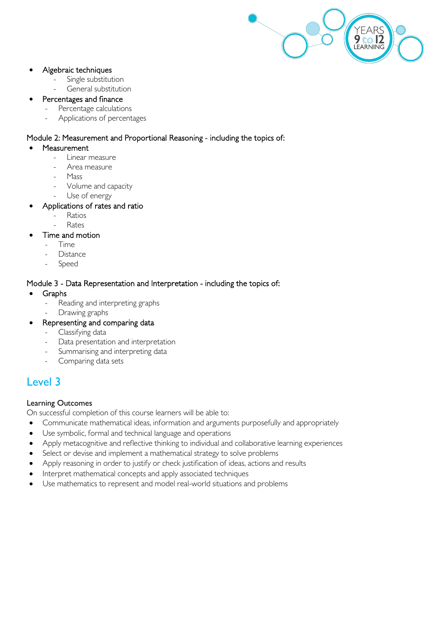

### • Algebraic techniques

- Single substitution
	- General substitution

# Percentages and finance

- Percentage calculations
- Applications of percentages

# Module 2: Measurement and Proportional Reasoning - including the topics of:

- **Measurement** 
	- Linear measure
	- Area measure
	- Mass
	- Volume and capacity
	- Use of energy

# • Applications of rates and ratio

- **Ratios**
- **Rates**

# Time and motion

- Time
- **Distance**
- **Speed**

# Module 3 - Data Representation and Interpretation - including the topics of:

- Graphs
	- Reading and interpreting graphs
	- Drawing graphs
- Representing and comparing data
	- Classifying data
	- Data presentation and interpretation
	- Summarising and interpreting data
	- Comparing data sets

# Level 3

# Learning Outcomes

On successful completion of this course learners will be able to:

- Communicate mathematical ideas, information and arguments purposefully and appropriately
- Use symbolic, formal and technical language and operations
- Apply metacognitive and reflective thinking to individual and collaborative learning experiences
- Select or devise and implement a mathematical strategy to solve problems
- Apply reasoning in order to justify or check justification of ideas, actions and results
- Interpret mathematical concepts and apply associated techniques
- Use mathematics to represent and model real-world situations and problems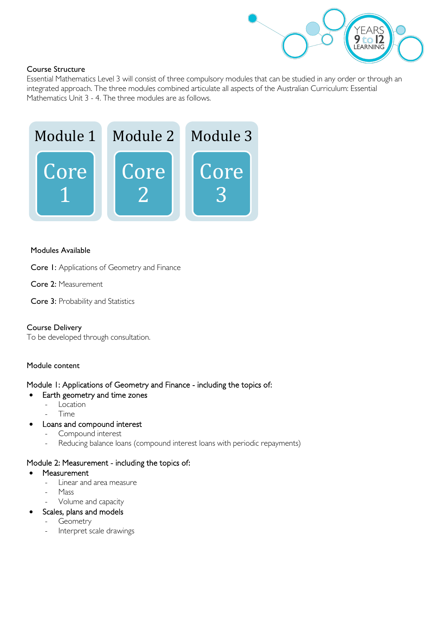

# Course Structure

Essential Mathematics Level 3 will consist of three compulsory modules that can be studied in any order or through an integrated approach. The three modules combined articulate all aspects of the Australian Curriculum: Essential Mathematics Unit 3 - 4. The three modules are as follows.



#### Modules Available

Core 1: Applications of Geometry and Finance

- Core 2: Measurement
- Core 3: Probability and Statistics

# Course Delivery

To be developed through consultation.

# Module content

# Module 1: Applications of Geometry and Finance - including the topics of:

- Earth geometry and time zones
	- Location
	- Time
- Loans and compound interest
	- Compound interest
	- Reducing balance loans (compound interest loans with periodic repayments)

# Module 2: Measurement - including the topics of:

- **Measurement** 
	- Linear and area measure
	- Mass
	- Volume and capacity
	- Scales, plans and models
		- **Geometry**
		- Interpret scale drawings